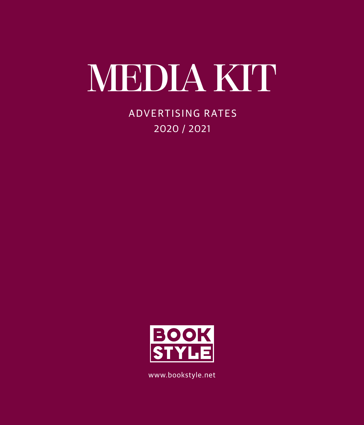# **media kit**

Advertising rates 2020 / 2021



www.bookstyle.net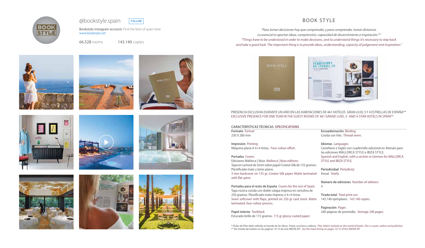# BOOK STYLE

*"Para tomar decisiones hay que comprender, y para comprender, tomar distancia. Lo esencial es aportar ideas, comprensión, capacidad de discernimiento e inspiración."\* "Things have to be understood in order to make decisions, and to understand things it's necessary to step back and take a good look. The important thing is to provide ideas, understanding, capacity of judgement and inspiration."*



### PRESENCIA EXCLUSIVA DURANTE UN AÑO EN LAS HABITACIONES DE 461 HOTELES GRAN LUJO, 5 Y 4 ESTRELLAS DE ESPAÑA\*\* EXCLUSIVE PRESENCE FOR ONE YEAR IN THE GUEST ROOMS OF 461 GRAND LUXE, 5- AND 4-STAR HOTELS IN SPAIN\*\*

| <b>CARACTERÍSTICAS TÉCNICAS SPECIFICATIONS</b>                                                                                |
|-------------------------------------------------------------------------------------------------------------------------------|
| <b>Formato Format</b>                                                                                                         |
| 230 X 280 mm                                                                                                                  |
|                                                                                                                               |
| Impresión Printing                                                                                                            |
| Máquina plana A 4+4 tintas. Four-colour offset.                                                                               |
|                                                                                                                               |
| <b>Portadas Covers</b>                                                                                                        |
| Ediciones Mallorca   Ibiza Mallorca   Ibiza editions                                                                          |
| Tapa en cartoné de 3mm sobre papel Creator Silk de 135 gramos.                                                                |
| Plastificado mate y lomo plano.                                                                                               |
| 3 mm hardcover on 135 gr. Creator Silk paper. Matte laminated                                                                 |
| with flat spine.                                                                                                              |
|                                                                                                                               |
|                                                                                                                               |
|                                                                                                                               |
| Portadas para el resto de España Covers for the rest of Spain<br>Tapa rústica cosida con doble solapa impresa en cartulina de |

250 gramos. Plastificado mate impreso a 4+4 tintas. Sewn softcover with flaps, printed on 250 gr card stock. Matte laminated, four-colour process.

**Papel interior** Textblock Estucado brillo de 115 gramos. 115 gr glossy coated paper.

**Encuadernación** Binding Cosida con hilo. Thread-sewn.

#### **Idiomas** Languages

Castellano e Inglés con cuadernillo adicional en Alemán para las ediciones MALLORCA STYLE e IBIZA STYLE. Spanish and English, with a section in German for MALLORCA STYLE and IBIZA STYLE.

### **Periodicidad** Periodicity

Anual. Yearly.

**Número de ediciones** Number of editions 4

**Tirada total** Total print run 143.140 ejemplares. 143.140 copies.

### **Paginación** Pages

240 páginas de promedio. Average 240 pages.

Bookstyle instagram account. Find the best of spain here.





www.bookstyle.net

66.528 rooms 143.140 copies



















\* Visión de Pilar Adán referida al mundo de los libros. Poeta, escritora y editora. Pilar Adán's outlook on the world of books. She is a poet, author and publisher. \*\* Ver listado de hoteles en las páginas 14-15 de este MEDIA KIT. See the hotel listing on pages 14-15 of this MEDIA KIT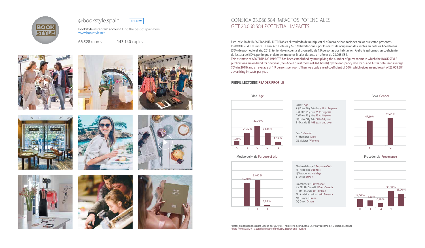### Consiga 23.068.584 impactos potenciales get 23.068.584 potential IMPACTS

Este cálculo de IMPACTOS PUBLICITARIOS es el resultado de multiplicar el número de habitaciones en las que están presentes los BOOK STYLE durante un año, 461 Hoteles y 66.528 habitaciones, por los datos de ocupación de clientes en hoteles 4-5 estrellas (76% de promedio el año 2018) teniendo en cuenta el promedio de 1,9 personas por habitación. A ello le aplicamos un coeficiente de lectura del 50%, por lo que el dato de impactos finales durante un año es de 23.068.584. This estimate of ADVERTISING IMPACTS has been established by multiplying the number of guest rooms in which the BOOK STYLE publications are on hand for one year (the 66,528 guest rooms of 461 hotels) by the occupancy rate for 5- and 4-star hotels (an average 76% in 2018) and an average of 1.9 persons per room. Then we apply a read coefficient of 50%, which gives an end result of 23,068,584 advertising impacts per year.

> Motivo del viaje\* Purpose of trip H) Negocios Business I ) Vacaciones Holidays J) Otros Others

### **PERFIL LECTORES READER PROFILE**

Sexo Gender

Motivo del viaje Purpose of trip

\* Datos proporcionados para España por EGATUR – Ministerio de Industria, Energía y Turismo del Gobierno Español. \* Data from EGATUR – Spanish Ministry of Industry, Energy and Tourism.

Edad\* Age A ) Entre 18 y 24 años / 18 to 24 years B ) Entre 25 y 34 / 25 to 34 years C ) Entre 35 y 49 / 35 to 49 years D ) Entre 50 y 64 / 50 to 64 years E ) Más de 65 / 65 years and over





Sexo\* Gender F ) Hombres Mens G ) Mujeres Womens



Procedencia\* Provenance K ) EEUU - Canadá USA - Canada L ) UK - Irlanda UK - Ireland M ) América Latina Latin America N ) Europa Europe O ) Otros Others

Bookstyle instagram account. Find the best of spain here. www.bookstyle.net





66.528 rooms 143.140 copies

















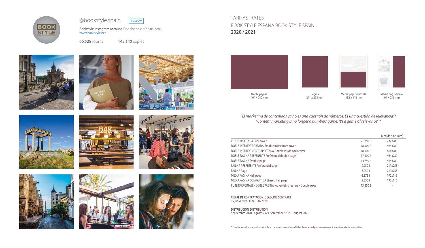|         | Medida Size (mm) |
|---------|------------------|
| 21.750€ | 232x280          |
| 18.500€ | 464x280          |
| 18.000€ | 464x280          |
| 17.500€ | 464x280          |
| 14.750€ | 464x280          |
| 9.950€  | 211x258          |
| 8.250€  | 211x258          |
| 6.575€  | 192x116          |
| 5.350€  | 192x116          |
| 13.250€ |                  |

**DISTRIBUCIÓN DISTRIBUTI** Septiembre 2020 - agosto 2021 Semtember 2020 - August 2021

**CIERRE DE CONTRATACIÓN DEADLINE CONTRACT** 15 junio 2020 June 15th 2020

Bookstyle instagram account. Find the best of spain here. www.bookstyle.net

\* Estudio sobre los nuevos formatos de la comunicación de Jason Miller. From a study on new communication formats by Jason Miller.





*"El marketing de contenidos ya no es una cuestión de números. Es una cuestión de relevancia"\* "Content marketing is no longer a numbers game. It's a game of relevance" \**

CONTRAPORTADA Back cover DOBLE INTERIOR PORTADA Double inside front cover DOBLE INTERIOR CONTRAPORTADA Double inside back cover DOBLE PÁGINA PREFERENTE Preferential double page DOBLE PÁGINA Double page PÁGINA PREFERENTE Preferential page PAGINA Page  $8.250 \in$  211x258 MEDIA PÁGINA Half page MEDIA PÁGINA COMPARTIDA Shared half page PUBLIRREPORTAJE - DOBLE PÁGINA Advertising feature - Double page

Doble página 464 x 280 mm

Página 211 x 258 mm

Media pág. horizontal 192 x 116 mm



Media pág. vertical 94 x 235 mm





66.528 rooms 143.140 copies



















### TARIFAS RATES BOOK STYLE ESPAÑA BOOK STYLE SPAIN **2020 / 2021**



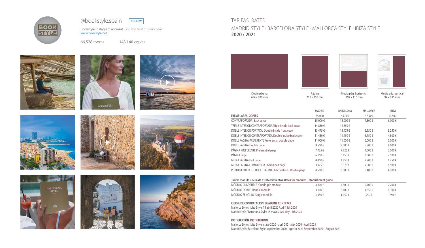|                                                                                   | <b>MADRID</b> | <b>BARCELONA</b> | <b>MALLORCA</b> | <b>IBIZA</b> |  |
|-----------------------------------------------------------------------------------|---------------|------------------|-----------------|--------------|--|
| <b>EJEMPLARES COPIES</b>                                                          | 45.000        | 45.000           | 32.500          | 10.500       |  |
| <b>CONTRAPORTADA Back cover</b>                                                   | 15.000€       | 15.000€          | 7.500€          | $6.000 \in$  |  |
| TRIPLE INTERIOR CONTRAPORTADA Triple inside back cover                            | 14.850€       | 14.850€          |                 |              |  |
| DOBLE INTERIOR PORTADA Double inside front cover                                  | 13.475 €      | 13.475€          | 6.950€          | 5.250€       |  |
| DOBLE INTERIOR CONTRAPORTADA Double inside back cover                             | 11.450€       | 11.450€          | 6.750€          | 4.800€       |  |
| DOBLE PÁGINA PREFERENTE Preferential double page                                  | 11.000€       | 11.000€          | $6.000 \in$     | 5.000€       |  |
| DOBLE PÁGINA Double page                                                          | 9.500€        | 9.500€           | 5.800€          | 4.600€       |  |
| PÁGINA PREFERENTE Preferential page                                               | 7.725€        | 7.725€           | 4.000€          | 3.000€       |  |
| PÁGINA Page                                                                       | 6.150€        | 6.150€           | 3.500€          | 2.500€       |  |
| MEDIA PÁGINA Half page                                                            | 4.850€        | 4.850€           | 2.700€          | 1.750€       |  |
| MEDIA PÁGINA COMPARTIDA Shared half page                                          | 3.975€        | 3.975€           | 2.000€          | 1.500€       |  |
| PUBLIRREPORTAJE - DOBLE PÁGINA Adv. feature - Double page                         | 8.500€        | 8.500€           | 5.400€          | 4.100€       |  |
| Tarifas módulos. Guía de establecimientos. Rates for modules. Establishment quide |               |                  |                 |              |  |
| MÓDULO CUÁDRUPLE Quadruple module                                                 | 4.800€        | 4.800€           | 2.700€          | 2.200€       |  |
| MÓDULO DOBLE Double module                                                        | 3.100€        | 3.100€           | 1.650€          | 1.300€       |  |
| MÓDULO SENCILLO, Single module                                                    | 1950€         | 1950€            | $950 \in$       | 750€         |  |

Bookstyle instagram account. Find the best of spain here. www.bookstyle.net

|                                                                                   | <b>MADRID</b> | <b>BARCELONA</b> | <b>MALLORCA</b> | <b>IBIZA</b> |  |
|-----------------------------------------------------------------------------------|---------------|------------------|-----------------|--------------|--|
| <b>EJEMPLARES COPIES</b>                                                          | 45.000        | 45.000           | 32.500          | 10.500       |  |
| <b>CONTRAPORTADA Back cover</b>                                                   | 15.000€       | 15.000€          | 7.500€          | $6.000 \in$  |  |
| TRIPLE INTERIOR CONTRAPORTADA Triple inside back cover                            | 14.850€       | 14.850€          |                 |              |  |
| DOBLE INTERIOR PORTADA Double inside front cover                                  | 13.475 €      | 13.475 €         | 6.950€          | 5.250€       |  |
| DOBLE INTERIOR CONTRAPORTADA Double inside back cover                             | 11.450€       | 11.450€          | 6.750€          | 4.800€       |  |
| DOBLE PÁGINA PREFERENTE Preferential double page                                  | 11.000€       | 11.000€          | $6.000 \in$     | 5.000€       |  |
| DOBLE PÁGINA Double page                                                          | 9.500€        | 9.500€           | 5.800€          | 4.600€       |  |
| PÁGINA PREFERENTE Preferential page                                               | 7.725€        | 7.725€           | 4.000€          | 3.000€       |  |
| PÁGINA Page                                                                       | 6.150€        | 6.150€           | 3.500€          | 2.500€       |  |
| MEDIA PÁGINA Half page                                                            | 4.850€        | 4.850€           | 2.700€          | 1.750€       |  |
| MEDIA PÁGINA COMPARTIDA Shared half page                                          | 3.975€        | 3.975€           | 2.000€          | 1.500€       |  |
| PUBLIRREPORTAJE - DOBLE PÁGINA Adv. feature - Double page                         | 8.500€        | 8.500€           | 5.400€          | 4.100€       |  |
| Tarifas módulos. Guía de establecimientos. Rates for modules. Establishment guide |               |                  |                 |              |  |
| MÓDULO CUÁDRUPLE Quadruple module                                                 | 4.800€        | 4.800€           | 2.700€          | 2.200€       |  |
| MÓDULO DOBLE Double module                                                        | 3.100€        | 3.100€           | 1.650€          | 1.300€       |  |
| MÓDULO SENCILLO Single module                                                     | 1.950€        | 1.950€           | 950€            | 750€         |  |
|                                                                                   |               |                  |                 |              |  |

### **CIERRE DE CONTRATACIÓN DEADLINE CONTRACT**

Mallorca Style / Ibiza Style: 15 abril 2020 April 15th 2020 Madrid Style / Barcelona Style: 15 mayo 2020 May 15th 2020

### **DISTRIBUCIÓN DISTRIBUTION**

Mallorca Style / Ibiza Style: mayo 2020 - abril 2021 May 2020 - April 2021 Madrid Style/ Barcelona Style: septiembre 2020 - agosto 2021 September 2020 - August 2021





# TARIFAS RATES madrid STYLE · Barcelona STYLE · mallorca STYLE · ibiza STYLE **2020 / 2021**



Doble página 464 x 280 mm

Página 211 x 258 mm

Media pág. horizontal 192 x 116 mm



Media pág. vertical 94 x 235 mm





66.528 rooms 143.140 copies















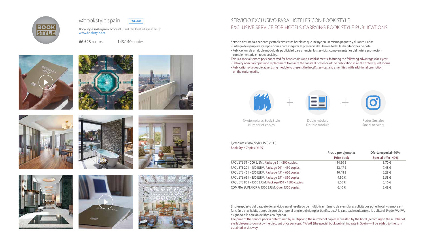Servicio destinado a cadenas y establecimientos hoteleros que incluye en un mismo paquete y durante 1 año: - Entrega de ejemplares y reposiciones para asegurar la presencia del libro en todas las habitaciones de hotel. - Publicación de un doble módulo de publicidad para anunciar los servicios complementarios del hotel y promoción complementaria en redes sociales.

This is a special service pack conceived for hotel chains and establishments, featuring the following advantages for 1 year: - Delivery of initial copies and replacement to ensure the constant presence of the publication in all the hotel's guest rooms. - Publication of a double advertising module to present the hotel's services and amenities, with additional promotion

Ejemplares Book Style ( PVP 25 € ) Book Style Copies ( $\in$  25)

PAQUETE 51 - 200 EJEM . Package 51 - 200 copies. PAQUETE 201 - 450 EJEM. Package 201 - 450 copies. PAQUETE 451 - 650 EJEM. Package 451 - 650 copies. PAQUETE 651 - 850 EJEM. Package 651 - 850 copies PAQUETE 851 - 1500 EJEM. Package 851 - 1500 copies. COMPRA SUPERIOR A 1500 EJEM. Over 1500 copies.

on the social media.



El presupuesto del paquete de servicio será el resultado de multiplicar número de ejemplares solicitados por el hotel –siempre en función de las habitaciones disponibles– por el precio del ejemplar bonificado. A la cantidad resultante se le aplica el 4% de IVA (IVA asignado a la edición de libros en España).

The price of the service pack is determined by multiplying the number of copies requested by the hotel (according to the number of available guest rooms) by the discount price per copy. 4% VAT (the special book publishing rate in Spain) will be added to the sum obtained in this way.







| Precio por ejemplar | Oferta especial -40% |
|---------------------|----------------------|
| <b>Price book</b>   | Special offer -40%   |
| 14,50€              | 8.70€                |
| 12,47 €             | 7,48€                |
| 10,48€              | 6,28€                |
| 9,30€               | 5,58€                |
| 8.60€               | 5,16€                |
| 6.40€               | 3.48€                |
|                     |                      |

# Servicio exclusivo para hoteles con Book Style EXCLUSIVE SERVICE FOR HOTELS CARRYING BOOK STYLE PUBLICATIONS

Nº ejemplares Book Style Number of copies

Doble módulo Double module Redes Sociales Social network

Bookstyle instagram account. Find the best of spain here. www.bookstyle.net





66.528 rooms 143.140 copies

















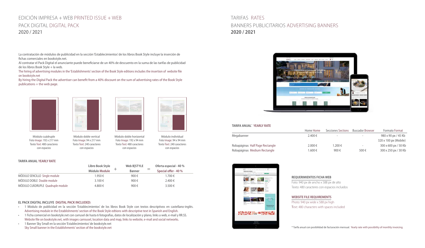La contratación de módulos de publicidad en la sección 'Establecimientos' de los libros Book Style incluye la inserción de fichas comerciales en bookstyle.net.

Al contratar el Pack Digital el anunciante puede beneficiarse de un 40% de descuento en la suma de las tarifas de publicidad de los libros Book Style + la web.

The hiring of advertising modules in the 'Establishments' section of the Book Style editions includes the insertion of website file on bookstyle.net

By hiring the Digital Pack the advertiser can benefit from a 40% discount on the sum of advertising rates of the Book Style publications + the web page.

**TARIFA ANUAL YEARLY RATE**

# Edición impresa + web printed issue + web PAck digital digital pack 2020 / 2021

### **EL PACK DIGITAL INCLUYE DIGITAL PACK INCLUDED:**

|                                   | Libro Book Style     | Web BSTYLE    | Oferta especial - 40 % |
|-----------------------------------|----------------------|---------------|------------------------|
|                                   | <b>Módulo Module</b> | <b>Banner</b> | Special offer - 40 %   |
| MODULO SENCILLO Single module     | 1.950€               | 900€          | 1.700€                 |
| MÓDULO DOBLE Double module        | $3.100 \in$          | 900€          | $2.400 \in$            |
| MÓDULO CUÁDRUPLE Quadruple module | 4.800€               | 900€          | $3.500 \in$            |

- • 1 Módulo de publicidad en la sección 'Establecimientos' de los libros Book Style con textos descriptivos en castellano-inglés. Advertising module in the Establishments' section of the Book Style edtions with descriptive text in Spanish and English.
- • 1 Ficha comercial en bookstyle.net con carrusel de hasta 6 fotografías, datos de localización y plano, links a web, e-mail y RR.SS. Website file on bookstyle.net, with images carrousel, location data and map, links to website, e-mail and social networks.
- • 1 Banner Sky Small en la sección 'Establecimientos' de bookstyle.net Sky Small banner in the Establishments' section of the bookstyle.net

### **TARIFA ANUAL\* YEARLY RATE**

|                                 | Home Home | Secciones Sections | <b>Buscador Browser</b>  | <b>Formato Format</b>       |
|---------------------------------|-----------|--------------------|--------------------------|-----------------------------|
| Megabanner                      | 2.400 €   | -                  |                          | 980 x 90 px / 45 Kb         |
|                                 |           |                    |                          | 320 x 100 px (Mobile)       |
| Robapáginas Half Page Rectangle | 2.000 €   | 1.200€             | $\overline{\phantom{a}}$ | $300 \times 600$ px / 50 Kb |
| Robapáginas Medium Rectangle    | 1.600€    | 900€               | 500€                     | 300 x 250 px / 30 Kb        |



# TARIFAS RATES Banners Publicitarios Advertising Banners **2020 / 2021**



\* Tarifa anual con posibilidad de facturación mensual. Yearly rate with possibility of monthly invoicing.



Módulo cuádruple Foto Image: 192 x 217 mm Texto Text: 480 caracteres con espacios



Módulo doble vertical Foto Image: 94 x 217 mm Texto Text: 240 caracteres con espacios



Módulo doble horizontal Foto Image: 192 x 94 mm Texto Text: 480 caracteres con espacios



Módulo individual Foto Image: 94 x 94 mm Texto Text: 240 caracteres con espacios

#### **REQUERIMIENTOS FICHA WEB**

Foto: 940 px de ancho x 588 px de alto Texto: 480 caracteres con espacios incluidos

### **WEBSITE FILE REQUIREMENTS**

Photo: 940 px wide x 588 px high Text: 480 characters with spaces included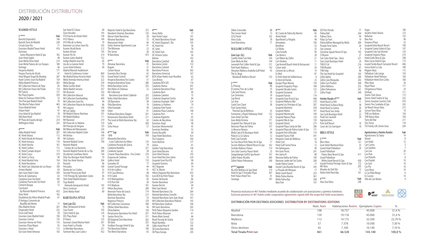# DISTRIBUCIÓN DISTRIBUTION 2020 / 2021

5 \*\*\*\*\* Hab Barceló Emperatriz Barceló Torre de Madrid Círculo Gran Vía Eurostars Madrid Tower Hotel Eurostars Suites Mirasierra Hotel & Spa Gran Hotel Inglés 48 Gran Meliá Fénix Hotel Gran Meliá Palacio de Los Duques Heritage Hesperia Madrid Hospes Puerta de Alcalá Hotel Miguel Ángel By Bluebay Hyatt Centric Gran Vía Madrid Melia Madrid Princesa NH Collection Palacio de Tepa NH Collection Paseo del Prado NH Suecia Riu Plaza España Relais & Chateaux Hotel Orfila The Principal Madrid Hotel The Westin Palace Hotel Único Madrid Hotel 45 Urban Hotel Urso Hotel & Spa Madrid Villa Real Hotel VP Plaza de España design Wellington Hotel

#### **MADRID STYLE**

4\*\*\*\*\* Hab Abba Madrid Hotel AC Hotel Aitana AC Hotel Alcalá de Henares AC Hotel Aravaca AC Hotel Atocha AC Hotel Carlton AC Hotel Coslada Airport AC Hotel Cuzco AC Hotel La Finca AC Hotel Madrid Feria AC Hotel Recoletos AC Hotel San Sebastián de Los Reyes Artiem Madrid Ayre Gran Hotel Colón 359 Barrio de Salamanca 63 Catalonia Gran Vía Hotel Catalonia Puerta del Sol Hotel Clement Barajas Courtyard By Marriott Madrid Princesa Dear Hotel Doubletree By Hilton Madrid Prado 61 El Antiguo Convento de Boadilla del Monte 17 Elba Madrid Alcalá 261 Emperador Hotel Encín Golf Hotel Eurostars Gran Madrid Hotel Eurostars Central Eurostars Arenas de Pinto Eurostars Plaza Mavor Eurostars I-Hotel Exe Gran Hotel Almenar

|            | Exe Hotel El Coloso                                      | 84         |
|------------|----------------------------------------------------------|------------|
|            | Gran Versalles                                           | 145        |
| Hab        | H10 Puerta de Alcala Hotel                               | 138        |
| 146        | H <sub>10</sub> Tribeca                                  | 140        |
| 258<br>71  | H10 Villa de La Reina                                    | 74<br>103  |
| 476        | Iberostar Las Letras Gran Vía<br>Ilunion Alcalá Norte    | 212        |
|            | Ilunion Atrium                                           | 195        |
| 182        | Ilunion Pío Xii                                          | 214        |
| -48        | Ilunion Suites Madrid                                    | 152        |
| 214        | Indigo Madrid-Gran Via                                   | 85         |
| 180        | Isla de La Garena Hotel                                  | 79         |
| 46         | Lusso Hotel Infantas                                     | 40         |
| 171        | Madrid Marriott Auditórium                               |            |
| 41         | Hotel & Conference Center                                | 869        |
| 267        | Me Madrid Reina Victoria Hotel                           | 192        |
| 159        | Meliá Avenida America Hotel                              | 322        |
| 265        | Meliá Barajas                                            | 230        |
| -85        | Meliá Castilla Hotel                                     | 915        |
| 114        | Melia Madrid Serrano                                     | 357        |
| 127<br>550 | NH Alcorcón                                              | 102<br>183 |
| 32         | NH Collection Abascal<br>NH Collection Eurobuilding      | 440        |
| 76         | NH Collection Gran Vía                                   | 94         |
| 465        | NH Collection Palacio de Aranjuez                        | 86         |
| 45         | NH Lagasca                                               | 100        |
| 97         | NH Las Tablas                                            | 149        |
| 78         | NH Madrid Alonso Martinez                                | 101        |
| 115        | NH Madrid Balboa                                         | 111        |
| 214        | NH Nacional                                              | 214        |
| 255        | NH Paseo de La Habana                                    | 155        |
|            | NH Principe de Vergara                                   | 155        |
| Hab        | NH Ribera del Manzanares                                 | 224        |
| 207        | NH Collection Madrid Colón                               | 146        |
| 112        | <b>NH Ventas</b>                                         | 199        |
| -90        | NH Zurbano                                               | 257        |
| 110        | Novotel Madrid Center                                    | 790        |
| 161<br>112 | Novotel Madrid                                           | 246        |
| 113        | Campo de Las Naciones<br>Novotel Madrid Puente de La Paz | 240        |
| 319        | Occidental Castellana Norte                              | 144        |
| 90         | Only You Boutque Hotel Madrid                            | 70         |
| 154        | Only You Hotel Atocha                                    | 204        |
| 63         | Pozuelo                                                  | 48         |
| 100        | Preciados                                                | 100        |
| 83         | Quinta de Los Cedros                                     | 32         |
| 359        | Sercotel Princesa de Éboli                               | 97         |
| 63         | 11th Príncipe By Splendom Suites                         | 36         |
| 185        | Täch Hotel Madrid Airport                                | 81         |
| 63         | <b>Tryp Madrid</b>                                       |            |
| 72         | Alameda Aeropuerto Hotel                                 | 145        |
|            | Vincci Centrum                                           | -87        |
| 423        | Zenit Abeba Hotel                                        | 89         |
| 162<br>61  | <b>BARCELONA STYLE</b>                                   |            |
|            |                                                          |            |
| 17         | Gran Lujo (GL)                                           | Hab        |
| 261        | ABaC Restaurant & Hotel                                  | 15         |
| 232        | Casa Fuster                                              | 105        |
| 39         | Claris Hotel & Spa                                       | 124        |
| 100        | DO: Plaça Reial                                          | 18         |
| 135        | El Palace                                                | 125        |
| 116        | <b>Eurostars Grand Marina Hotel</b>                      | 291        |
| 92         | Gran Hotel La Florida                                    | 70         |
| 112        | Le Méridien Barcelona                                    | 231        |
| 103        | Fairmont Rey Juan Carlos I                               | 432        |
|            |                                                          |            |

| 84         | Majestic Hotel & Spa Barcelona                | 275       | $4***$                               |
|------------|-----------------------------------------------|-----------|--------------------------------------|
| 145        | Mandarin Oriental, Barcelona                  | 120       | Arrey Alella                         |
| 138        | Mercer Hotel Barcelona                        | 28        | Ayre Hotel Casp                      |
| 140        | Miramar Barcelona                             | 75        | <b>AC Hotel Barcelo</b>              |
| 74         | Monument Hotel                                | 84        | AC Hotel Diagor                      |
| 103        | Suites Avenue Apartments Luxe                 | 41        | AC Hotel Irla                        |
| 212        | The Wittmore                                  | 22        |                                      |
| 195        |                                               |           | AC Sants                             |
|            | The Serras                                    | 28        | AC Hotel Som                         |
| 214        | W Barcelona                                   | 473       | <b>AC Victoria Suite</b>             |
| 152        |                                               |           | <b>Balmes</b>                        |
| 85         | $5***$                                        | Hab       | Barcelona Cated                      |
| 79         | Almanac Barcelona                             | 91        | Barcelona Cente                      |
| 40         | <b>Bagués</b>                                 | 31        | Barcelona Colon                      |
|            | <b>Cotton House</b>                           | 83        | Barcelona Prince                     |
| 869        | Eurostars Bcn Design                          | 65        | Barcelona Unive                      |
| 192        | <b>Grand Hotel Central</b>                    | 147       | <b>BCN Urban Hote</b>                |
| 322        | Hesperia Barcelona Fira Suites                | 51        | Casa Bonay                           |
| 230        | Hesperia Barcelona Tower                      | 280       | Catalonia BCN 5                      |
| 915        | Meliá Barcelona Sarrià                        | 333       | Catalonia Atena:                     |
| 357        | Neri Relais & Châteaux                        | 22        | Catalonia Barcel                     |
| 102        | NH Collection                                 |           | Catalonia Born                       |
| 183        |                                               |           |                                      |
|            | Barcelona Gran Hotel Calderón                 | 255       | Catalonia Catedi                     |
| 440        | Nobu Hotel Barcelona                          | 259       | Catalonia Diago                      |
| 94         | OD Barcelona                                  | 98        | Catalonia Eixam                      |
| 86         | Ohla Barcelona                                | 74        | Catalonia La Pec                     |
| 100        | Ohla Eixample                                 | 94        | Catalonia Park P                     |
| 149        | <b>Omm</b>                                    | 91        | Catalonia Plaza (                    |
| 101        | Pullman Barcelona Skipper                     | 241       | Catalonia Port                       |
| 111        | Renaissance Barcelona Hotel                   | 211       | Catalonia Rigole                     |
| 214        | The Level at Meliá Barcelona Sky              | 63        | Condes de Barce                      |
| 155        | Sofía                                         | 500       | Eurostars Anglí                      |
| 155        | Soho House                                    | 57        | <b>Eurostars Monur</b>               |
| 224        |                                               |           | <b>Eurostars Rambl</b>               |
| 146        | 4**** Sup                                     | Hab       | Evenia Rosselló                      |
| 199        | 1898                                          | 169       |                                      |
| 257        | Alexandra Barcelona                           |           | Expo Hotel Barce                     |
| 790        |                                               |           | Fira Congress                        |
|            | Curio Collection by Hilton                    | 116       | <b>Front Maritim</b>                 |
|            | Catalonia Passeig de Gràcia                   | 74        | Gótico                               |
| 246        |                                               |           |                                      |
|            | Catalonia Ramblas                             | 221       | Golden Tulip Bar                     |
| 240        | Catalonia Square                              | 58        | Gran Hotel Barci                     |
| 144        | Crowne Plaza Barcelona - Fira Center          | 276       | Gran Hotel Hava                      |
| 70         | Duquesa de Cardona                            | 53        | Gran Hotel Rey I                     |
| 204        | Gallery Hotel                                 | 110       | Grupotel Gran V                      |
| 48         | Granados 83                                   | 77        | Grupotel Gravin                      |
| 100        | Guitart Grand Passage                         | 44        | <b>HCC Regente</b>                   |
| 32         |                                               | 91        | HCC St. Moritz                       |
| 97         | H <sub>10</sub> Art Gallery                   |           |                                      |
|            | H10 Casa Mimosa                               | 48        | Hilton Diagonal                      |
| 36         | H <sub>10</sub> Cubik                         | 102       | Icon BCN by Peti                     |
| 81         | H10 Metropolitan                              | 85        | <b>Ilunion Almirant</b>              |
|            | H <sub>10</sub> Port Vell                     | 58        | Ilunion Barcelon                     |
| 145        | H <sub>10</sub> Madison                       | 101       | Ilunion Bel Art                      |
| 87         | Hilton Barcelona                              | 289       | Món Sant Benet                       |
| 89         | Iberostar Paseo de Gracia                     | 119       | Novotel Barcelor                     |
|            | Meliá Barcelona Sky                           | 213       | Novotel Barcelor                     |
|            | Murmuri Barcelona                             | 53        | Novotel Barcelor                     |
|            | Negresco Princess                             | 129       | NH Collection Ba                     |
| Hab        | NH Collection Constanza                       | 308       | NH Barcelona St                      |
| 15         | Ofelias Hotel Barcelona                       | 44        | NH Sants Barcelo                     |
| 105        | Olivia Balmes                                 | 128       | Petit Palace Bog                     |
| 124        | Renaissance Barcelona Fira Hotel              | 357       | Petit Palace Mus                     |
| 18         | Santos Porta Fira                             | 311       | Room Mate Gera                       |
| 125        |                                               | 262       |                                      |
|            | SB Diagonal Zero Barcelona                    |           | Royal Passeig de                     |
| 291        | <b>SB Glow</b>                                | 235       | Roval Ramblas                        |
| 70         | Yurbban Passage Hotel & Spa                   | 60        | Sallés Hotel Pere                    |
| 231<br>432 | The Barcelona Edition<br>The Mirror Barcelona | 100<br>63 | SB Icaria Barcelo<br>SB Plaza Europa |

| <b>OD Port Portals</b>                                      | 77       |
|-------------------------------------------------------------|----------|
| Pabisa Bali                                                 | 264      |
| Pabisa Chico                                                | 94       |
| Palau Sa Font                                               | 19       |
| Palma Bellver Managed by Meliá                              | 384      |
| Posada Terra Santa                                          | 26       |
| San Lorenzo                                                 | ç        |
| Sensimar Aguait Resort & Spa                                | 192      |
| S'Olivaret                                                  | 27       |
| Son Caliu Hotel Spa - Oasis                                 | 221      |
| Som Llaüt Boutique Hotel                                    | 24       |
| THB El Cid                                                  | 216      |
| <b>THB Mirador</b>                                          | 87       |
| THB Felip                                                   | 96       |
| The Sea Hotel by Grupotel                                   | 163      |
| Zafiro Bahía                                                | 289      |
| Zafiro Cala Mesquida                                        | 243      |
| Zafiro Can Picafort                                         | 300      |
| Zafiro Mallorca                                             | 252      |
| Zafiro Palmanova                                            | 241      |
| Zafiro Tropic                                               | 340      |
| Hoteles Rurales 4****                                       | Hab      |
| Hotel Rural Ca N'Aí                                         | 11       |
| Hotel Rural Sa Bassa Rotja                                  | 38       |
| Hotel Rural Sa Galera                                       | 20       |
| Hotel Rural Son Jorda                                       | 20       |
| Son Corb Boutique Hotel                                     | 22       |
| Predi Son Jaumell                                           | 24       |
| Agroturismos<br>Pula Golf Resort<br>Cases de Ca's Garriguer | 10<br>10 |
|                                                             |          |

Grupotel Ibiza Beach Resort Grupotel Santa Eulària & Spa 197

Hotel Garbi İbiza & Spa

Palladium Cala Longa

Sirenis Club Siesta Sirenis Hotel Goleta & Spa

Sirenis Tres Carabelas & Spa

TUI Family Life Sirenis Aura

Ibiza Corso Hotel & Spa<br>Insotel Tarida Beach Sensatori Resort 406 Insotel Tarida Beach Sensatori Resort 406 Invisa Hotel La Cala<br>Migjorn Ibiza 180 Migjorn Ibiza 112

Palladium Hotel Palmyra 160 Palladium Hotel Don Carlos 168 Pikes Ibiza 126<br>Roval Plaza 117 Royal Plaza 117 S'Argamassa Palace 24<br>Simbad 111 Simbad 111<br>
Sirenis Club Siesta 113<br>
Sirenis Hotel Goleta & Spa 252<br>
Sirenis Seaview Country Club 476

Sirenis Seaview Country Club 476<br>Sirenis Tres Carabelas & Spa 445<br>Sol Beach House Ibiza 275

Sol Beach House Ibiza 275 Sunset Oasis Ibiza<br>THB Los Molinos 156 THB Los Molinos<br>THB Naeco Ibiza 104 THB Naeco Ibiza 104 Torre del Mar 217<br>Tres Torres 118 Tres Torres 118<br>TUI Family Life Sirenis Aura 118

Azuline Hotel Atlanic

| $4***$                                                | Hab       |
|-------------------------------------------------------|-----------|
| Arrey Alella                                          | 37        |
| <b>Ayre Hotel Caspe</b>                               | 141       |
| <b>AC Hotel Barcelona Forum</b>                       | 368       |
| AC Hotel Diagonal L'Illa                              | 103       |
| <b>AC Hotel Irla</b>                                  | 36        |
| <b>AC Sants</b>                                       | 78        |
| <b>AC Hotel Som</b>                                   | 102       |
| <b>AC Victoria Suites</b>                             | 56        |
| Balmes                                                | 102       |
| Barcelona Catedral                                    | 80        |
| Barcelona Center                                      | 132       |
| Barcelona Colonial                                    | 81        |
| Barcelona Princess                                    | 363       |
| Barcelona Universal<br>BCN Urban Hotels Gran Rosellon | 167<br>62 |
|                                                       | 67        |
| Casa Bonay<br>Catalonia BCN 505                       | 116       |
| Catalonia Atenas                                      | 201       |
| Catalonia Barcelona Plaza                             | 347       |
| Catalonia Born                                        | 90        |
| Catalonia Catedral                                    | 73        |
| Catalonia Diagonal Centro                             | 84        |
| Catalonia Eixample 1864                               | 124       |
| Catalonia La Pedrera                                  | 79        |
| Catalonia Park Putxet                                 | 151       |
| Catalonia Plaza Cataluña                              | 148       |
| Catalonia Port                                        | 41        |
| Catalonia Rigoletto                                   | 65        |
| Condes de Barcelona                                   | 126       |
| Eurostars Anglí                                       | 48        |
| Eurostars Monumental                                  | 45        |
| Eurostars Ramblas                                     | 55        |
| Evenia Rosselló                                       | 94        |
| Expo Hotel Barcelona                                  | 423       |
| Fira Congress                                         | 160       |
| Front Marítim                                         | 177       |
| Gótico<br>Golden Tulip Barcelona                      | 81<br>158 |
| Gran Hotel Barcino                                    | 61        |
| Gran Hotel Havana                                     | 145       |
| Gran Hotel Rey Don Jaime                              | 220       |
| Grupotel Gran Vía 678                                 | 98        |
| Grupotel Gravina                                      | 84        |
| HCC Regente                                           | 79        |
| <b>HCC St. Moritz</b>                                 | 91        |
| Hilton Diagonal Mar Barcelona                         | 433       |
| Icon BCN by Petit Palace                              | 50        |
| llunion Almirante                                     | 86        |
| Ilunion Barcelona                                     | 224       |
| Ilunion Bel Art                                       | 94        |
| Mon Sant Benet                                        | 8/        |
| Novotel Barcelona City                                | 264       |
| Novotel Barcelona Cornella                            | 153       |
| Novotel Barcelona Sant Joan Despí                     | 161       |
| NH Collection Barcelona Pódium                        | 145       |
| NH Barcelona Stadium                                  | 106       |
| NH Sants Barcelona                                    | 203       |
| Petit Palace Boquería Garden<br>Petit Palace Museum   | 114<br>61 |
| Room Mate Gerard                                      | 66        |
| Royal Passeig de Gràcia                               | 124       |
| Royal Ramblas                                         | 122       |
| Sallés Hotel Pere IV                                  | 195       |
| SB Icaria Barcelona                                   | 180       |
| SB Plaza Europa                                       | 243       |

| Silken Concordia<br>The Corner Hotel<br>U232 Hotel<br>Vincci Gala<br>Zenit Barcelona                                                                                                                                                                                                                                                                                                                                                                                                                                                                                                                                                                                                                                                                                                                                                                               | 88<br>72<br>102<br>78<br>71                                                                                                                                                                           | $4***$<br>AC Ciutat de Palma By Marriot<br>Aimia Hotel<br>Aparthotel La Pérgola<br>Armadams                                                                                                                                                                                                                                                                                                                                                                                                                                                                                                                                                                                                                                                                                                                                                     | Hab<br>85<br>43<br>98<br>100                                                                                                                                                                                                     | 0<br>P<br>P<br>P<br>P                                                                                                                                                                                |
|--------------------------------------------------------------------------------------------------------------------------------------------------------------------------------------------------------------------------------------------------------------------------------------------------------------------------------------------------------------------------------------------------------------------------------------------------------------------------------------------------------------------------------------------------------------------------------------------------------------------------------------------------------------------------------------------------------------------------------------------------------------------------------------------------------------------------------------------------------------------|-------------------------------------------------------------------------------------------------------------------------------------------------------------------------------------------------------|-------------------------------------------------------------------------------------------------------------------------------------------------------------------------------------------------------------------------------------------------------------------------------------------------------------------------------------------------------------------------------------------------------------------------------------------------------------------------------------------------------------------------------------------------------------------------------------------------------------------------------------------------------------------------------------------------------------------------------------------------------------------------------------------------------------------------------------------------|----------------------------------------------------------------------------------------------------------------------------------------------------------------------------------------------------------------------------------|------------------------------------------------------------------------------------------------------------------------------------------------------------------------------------------------------|
| <b>MALLORCA STYLE</b>                                                                                                                                                                                                                                                                                                                                                                                                                                                                                                                                                                                                                                                                                                                                                                                                                                              |                                                                                                                                                                                                       | Bendinat<br>Ca'l Bisbe                                                                                                                                                                                                                                                                                                                                                                                                                                                                                                                                                                                                                                                                                                                                                                                                                          | 52<br>25                                                                                                                                                                                                                         | P<br>Si                                                                                                                                                                                              |
| Gran Lujo (GL)<br>Castillo Hotel Son Vida<br>Gran Melia de Mar<br>Jumeirah Port Sóller Hotel & Spa<br>Park Hyatt Mallorca<br>Sheraton Mallorca Arabella Golf Hotel<br>The St. Regis<br>Mardavall Mallorca Resort<br>5*****<br>Es Princep<br>El Llorenç Parc de La Mar<br>Cala Sant Vicenç<br>Can Simoneta<br>Cap Rocat<br>Cas Xorc<br>Castel Son Claret<br>Font Santa Hotel,<br>Thermal Spa & Wellness<br>Formentor, a Royal Hideaway Hotel<br>Gran Hotel Son Net<br>Gran Meliá Victoria<br>Grupotel Parc Natural & Spa<br>Iberostar Playa de Palma<br>La Reserva Rotana<br>Meliá Cala d'Or Boutique Hotel<br>Palacio Ca Sa Galesa<br>Petit Cala Fornells<br>Sa Creu Nova Petit Palais Art & Spa<br>Secrets Mallorca Villamil Resort & Spa<br>Sentido Mallorca Palace<br>Son Julia Country House Hotel<br>Steigenberger Golf & Spa Resort<br>Zafiro Palace Alcúdia | Hab<br>164<br>144<br>121<br>142<br>93<br>133<br>Hab<br>68<br>33<br>38<br>18<br>24<br>12<br>38<br>25<br>122<br>24<br>171<br>152<br>157<br>24<br>49<br>12<br>24<br>17<br>162<br>114<br>25<br>167<br>369 | Cala Fornells<br>Can Bonico<br>Can Ribera by Zafiro<br>Ca'n Verdera<br>Cap Vermell Beach Hotel & Restaurant<br>Ciutat Jardi<br>Convent de La Missio<br>Es Molí<br>Es Petit Hotel de Valldemossa<br>Es Recó de Randa<br>Europe Playa Marina<br>Grupotel Acapulco Playa<br>Grupotel Alcúdia Suites<br>Grupotel Dunamar<br>Grupotel Farrutx<br>Grupotel Gran Vista & Spa<br>Grupotel Mallorca Mar<br>Grupotel Los Principes & Spa<br>Grupotel Marítimo<br>Grupotel Molins<br>Grupotel Montecarlo<br>Grupotel Natura Playa<br>Grupotel Nilo & Spa<br>Grupotel Orient<br>Grupotel Playa Camp de Mar<br>Grupotel Playa de Palma Suites & Spa<br>Grupotel Port d'Alcúdia<br>Grupotel Taurus Park<br>Hesperia Ciutat de Mallorca<br>Hotel Cort<br>Hotel Golf Santa Ponsa<br>Hm Balanguera<br>Hm Gran Fiesta<br>Hm Jaime III<br>Iberostar Bahía de Palma | 90<br>28<br>21<br>11<br>11<br>20<br>14<br>87<br>8<br>25<br>159<br>180<br>122<br>51<br>174<br>440<br>270<br>307<br>258<br>101<br>169<br>120<br>150<br>273<br>286<br>171<br>174<br>341<br>62<br>16<br>12<br>40<br>241<br>88<br>169 | Sı<br>S'<br>$\mathsf{S}$<br>Sı<br>TI<br>TI<br>TI<br>TI<br>Z<br>Z<br>Z<br>Z<br>Z<br>Z<br>Η<br>Н<br>Н<br>Н<br>Н<br>S<br>P <sub>1</sub><br>А<br>P <sub>1</sub><br>С<br>II<br>5<br>B<br>G<br>G<br>G<br>G |
|                                                                                                                                                                                                                                                                                                                                                                                                                                                                                                                                                                                                                                                                                                                                                                                                                                                                    |                                                                                                                                                                                                       |                                                                                                                                                                                                                                                                                                                                                                                                                                                                                                                                                                                                                                                                                                                                                                                                                                                 |                                                                                                                                                                                                                                  |                                                                                                                                                                                                      |
| Zafiro Palace Palmanova<br>4**** Superior<br>Illa d'Or Wellness & Spa Hotel                                                                                                                                                                                                                                                                                                                                                                                                                                                                                                                                                                                                                                                                                                                                                                                        | 240<br>Hab<br>119                                                                                                                                                                                     | Iberostar Jardín del Sol Suites<br>Inside Palma Center<br>Insotel Cala Mandía Resort & Spa                                                                                                                                                                                                                                                                                                                                                                                                                                                                                                                                                                                                                                                                                                                                                      | 260<br>77<br>545<br>17                                                                                                                                                                                                           | Ir<br>N<br>N                                                                                                                                                                                         |
| Hotel & Spa S' Entrador Playa<br>Petit Palace Hotel Tres                                                                                                                                                                                                                                                                                                                                                                                                                                                                                                                                                                                                                                                                                                                                                                                                           | 207<br>41                                                                                                                                                                                             | La Posada del Marques<br>Meliá South Beach<br>Melia Palma Marina                                                                                                                                                                                                                                                                                                                                                                                                                                                                                                                                                                                                                                                                                                                                                                                | 253<br>361                                                                                                                                                                                                                       | N                                                                                                                                                                                                    |
| Saratoga                                                                                                                                                                                                                                                                                                                                                                                                                                                                                                                                                                                                                                                                                                                                                                                                                                                           | 187                                                                                                                                                                                                   | Meliá Palma Bay<br>Mon Port                                                                                                                                                                                                                                                                                                                                                                                                                                                                                                                                                                                                                                                                                                                                                                                                                     | 268<br>147                                                                                                                                                                                                                       | 4<br>A                                                                                                                                                                                               |
|                                                                                                                                                                                                                                                                                                                                                                                                                                                                                                                                                                                                                                                                                                                                                                                                                                                                    |                                                                                                                                                                                                       | Presencia exclusiva en 461 hoteles mediante acuerdo de colaboración con asociaciones<br>Exclusive presence in 461 hotels under cooperation agreements signed with the respect                                                                                                                                                                                                                                                                                                                                                                                                                                                                                                                                                                                                                                                                   |                                                                                                                                                                                                                                  |                                                                                                                                                                                                      |
|                                                                                                                                                                                                                                                                                                                                                                                                                                                                                                                                                                                                                                                                                                                                                                                                                                                                    |                                                                                                                                                                                                       | DISTRIBUCIÓN POR DESTINOS-EDICIONES DISTRIBUTION BY DESTINATIO                                                                                                                                                                                                                                                                                                                                                                                                                                                                                                                                                                                                                                                                                                                                                                                  |                                                                                                                                                                                                                                  |                                                                                                                                                                                                      |
|                                                                                                                                                                                                                                                                                                                                                                                                                                                                                                                                                                                                                                                                                                                                                                                                                                                                    |                                                                                                                                                                                                       |                                                                                                                                                                                                                                                                                                                                                                                                                                                                                                                                                                                                                                                                                                                                                                                                                                                 | Núm. N                                                                                                                                                                                                                           |                                                                                                                                                                                                      |
| Madrid                                                                                                                                                                                                                                                                                                                                                                                                                                                                                                                                                                                                                                                                                                                                                                                                                                                             |                                                                                                                                                                                                       |                                                                                                                                                                                                                                                                                                                                                                                                                                                                                                                                                                                                                                                                                                                                                                                                                                                 |                                                                                                                                                                                                                                  | 108                                                                                                                                                                                                  |
| <b>Barcelona</b>                                                                                                                                                                                                                                                                                                                                                                                                                                                                                                                                                                                                                                                                                                                                                                                                                                                   |                                                                                                                                                                                                       |                                                                                                                                                                                                                                                                                                                                                                                                                                                                                                                                                                                                                                                                                                                                                                                                                                                 |                                                                                                                                                                                                                                  | 139                                                                                                                                                                                                  |

### **Ibiza Style**

Bellamar 155 Blau Parc 96 Duquesa Playa 32

Grupotel Cala San Vicente<br>Grupotel Imperio Playa 120 Grupotel Imperio Playa 210<br>Hotel Garbi Ibiza & Spa 298<br>Ibiza Corso Hotel & Spa 273

|     | Agroturismos y Hoteles Rurales<br>Agroturismo Sa Talaia | hab<br>14 |
|-----|---------------------------------------------------------|-----------|
| Hab | Atzaró                                                  | 8         |
| 151 | Can Arabí                                               | 12        |
| 33  | Can Curreu                                              | 5         |
| 29  | Can Guillem                                             |           |
|     | Can Lluc                                                | 20        |
| 411 | Can Pere                                                | 11        |
|     | <b>Can Planells</b>                                     | 8         |
| 430 | Can Pujolet                                             | 10        |
| 172 | Cas Gasi                                                | 10        |
| 205 | Cas Pla                                                 | 16        |
| 12  | Casa Maca                                               | 10        |
| 161 | Ca Sa Vilda Marge                                       | 6         |
|     | <b>Es Cucons</b>                                        | 14        |
| Hab | Villa de Can Mariès                                     | 9         |
| 290 |                                                         |           |
|     |                                                         |           |

| y gremios hoteleros: |                         |  |  |  |
|----------------------|-------------------------|--|--|--|
|                      | ive hotel associations: |  |  |  |



Argos 106<br>Azuline Hotel Atlanic 123<br>Bellamar 155

| Exclusive presence in 461 hotels under cooperation agreements signed with the respect |        |
|---------------------------------------------------------------------------------------|--------|
| DISTRIBUCIÓN POR DESTINOS-EDICIONES DISTRIBUTION BY DESTINATION                       |        |
|                                                                                       | Núm. N |
| Madrid                                                                                | 108    |
| Barcelona                                                                             | 139    |
| Mallorca                                                                              | 112    |
| Ibiza                                                                                 | 57     |
| Otros destinos                                                                        | 45     |
| <b>Total Tirada Print run</b>                                                         | 461    |

|                               | Núm. Num | Habitaciones Rooms Ejemplares Copies |         | $\frac{0}{0}$ |
|-------------------------------|----------|--------------------------------------|---------|---------------|
| Madrid                        | 108      | 18.757                               | 45.000  | 31,4 %        |
| <b>Barcelona</b>              | 139      | 19.118                               | 45.000  | 31.4 %        |
| Mallorca                      | 112      | 14.175                               | 32.500  | 22.70 %       |
| Ibiza                         | 57       | 7.378                                | 10.500  | 7,30 %        |
| Otros destinos                | 45       | 7.100                                | 10.140  | 7.10 %        |
| <b>Total Tirada Print run</b> | 461      | 66.528                               | 143.140 | 100.0%        |
|                               |          |                                      |         |               |



#### **PDESTINATIONS-EDITIONS**